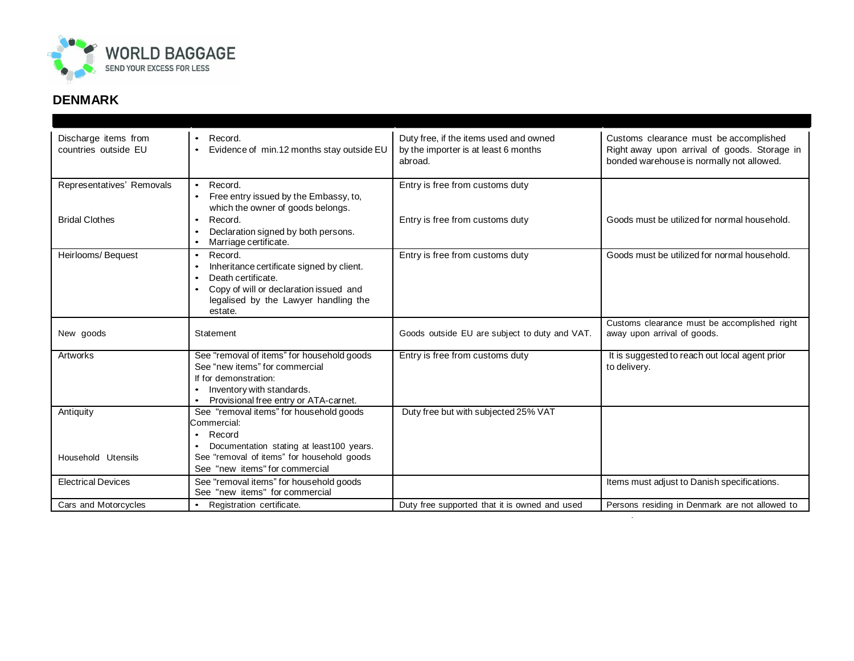

## **DENMARK**

| Discharge items from<br>countries outside EU | Record.<br>Evidence of min.12 months stay outside EU                                                                                                                                              | Duty free, if the items used and owned<br>by the importer is at least 6 months<br>abroad. | Customs clearance must be accomplished<br>Right away upon arrival of goods. Storage in<br>bonded warehouse is normally not allowed. |
|----------------------------------------------|---------------------------------------------------------------------------------------------------------------------------------------------------------------------------------------------------|-------------------------------------------------------------------------------------------|-------------------------------------------------------------------------------------------------------------------------------------|
| Representatives' Removals                    | Record.<br>$\bullet$<br>Free entry issued by the Embassy, to,<br>$\bullet$<br>which the owner of goods belongs.                                                                                   | Entry is free from customs duty                                                           |                                                                                                                                     |
| <b>Bridal Clothes</b>                        | Record.<br>$\bullet$<br>Declaration signed by both persons.<br>Marriage certificate.                                                                                                              | Entry is free from customs duty                                                           | Goods must be utilized for normal household.                                                                                        |
| Heirlooms/Bequest                            | Record.<br>$\bullet$<br>Inheritance certificate signed by client.<br>$\bullet$<br>Death certificate.<br>Copy of will or declaration issued and<br>legalised by the Lawyer handling the<br>estate. | Entry is free from customs duty                                                           | Goods must be utilized for normal household.                                                                                        |
| New goods                                    | Statement                                                                                                                                                                                         | Goods outside EU are subject to duty and VAT.                                             | Customs clearance must be accomplished right<br>away upon arrival of goods.                                                         |
| Artworks                                     | See "removal of items" for household goods<br>See "new items" for commercial<br>If for demonstration:<br>Inventory with standards.<br>$\bullet$<br>Provisional free entry or ATA-carnet.          | Entry is free from customs duty                                                           | It is suggested to reach out local agent prior<br>to delivery.                                                                      |
| Antiquity                                    | See "removal items" for household goods<br>Commercial:<br>Record<br>Documentation stating at least100 years.<br>٠                                                                                 | Duty free but with subjected 25% VAT                                                      |                                                                                                                                     |
| Household Utensils                           | See "removal of items" for household goods<br>See "new items" for commercial                                                                                                                      |                                                                                           |                                                                                                                                     |
| <b>Electrical Devices</b>                    | See "removal items" for household goods<br>See "new items" for commercial                                                                                                                         |                                                                                           | Items must adjust to Danish specifications.                                                                                         |
| Cars and Motorcycles                         | Registration certificate.<br>$\bullet$                                                                                                                                                            | Duty free supported that it is owned and used                                             | Persons residing in Denmark are not allowed to                                                                                      |

.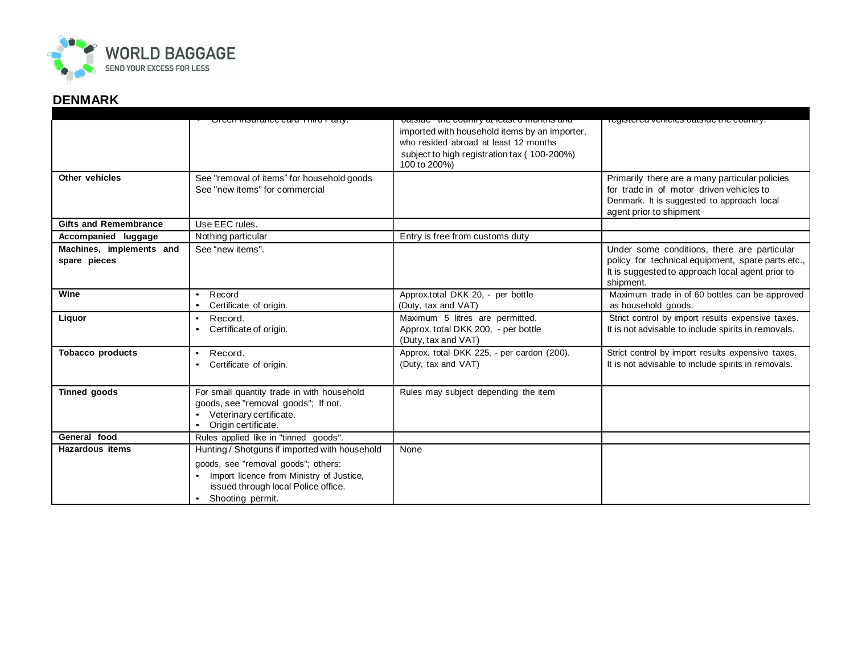

## **DENMARK**

|                              | <del>oroon mouranoo oaru Timu Fari</del> y                                                                   | udionau - thu uudhin y di hudut u muhimu dha                                                  | ן טעוסגטו טע אטרווטוטס טעגסועט גווט טטעוווגר                                                                                             |
|------------------------------|--------------------------------------------------------------------------------------------------------------|-----------------------------------------------------------------------------------------------|------------------------------------------------------------------------------------------------------------------------------------------|
|                              |                                                                                                              | imported with household items by an importer,<br>who resided abroad at least 12 months        |                                                                                                                                          |
|                              |                                                                                                              | subject to high registration tax (100-200%)                                                   |                                                                                                                                          |
|                              |                                                                                                              | 100 to 200%)                                                                                  |                                                                                                                                          |
| Other vehicles               | See "removal of items" for household goods<br>See "new items" for commercial                                 |                                                                                               | Primarily there are a many particular policies<br>for trade in of motor driven vehicles to<br>Denmark. It is suggested to approach local |
|                              |                                                                                                              |                                                                                               | agent prior to shipment                                                                                                                  |
| <b>Gifts and Remembrance</b> | Use EEC rules.                                                                                               |                                                                                               |                                                                                                                                          |
| Accompanied luggage          | Nothing particular                                                                                           | Entry is free from customs duty                                                               |                                                                                                                                          |
| Machines, implements and     | See "new items".                                                                                             |                                                                                               | Under some conditions, there are particular                                                                                              |
| spare pieces                 |                                                                                                              |                                                                                               | policy for technical equipment, spare parts etc.,<br>It is suggested to approach local agent prior to<br>shipment.                       |
| Wine                         | Record<br>$\bullet$<br>Certificate of origin.                                                                | Approx.total DKK 20, - per bottle<br>(Duty, tax and VAT)                                      | Maximum trade in of 60 bottles can be approved<br>as household goods.                                                                    |
| Liquor                       | Record.<br>$\bullet$<br>Certificate of origin.                                                               | Maximum 5 litres are permitted.<br>Approx. total DKK 200, - per bottle<br>(Duty, tax and VAT) | Strict control by import results expensive taxes.<br>It is not advisable to include spirits in removals.                                 |
| <b>Tobacco products</b>      | Record.<br>$\bullet$<br>Certificate of origin.                                                               | Approx. total DKK 225, - per cardon (200).<br>(Duty, tax and VAT)                             | Strict control by import results expensive taxes.<br>It is not advisable to include spirits in removals.                                 |
| <b>Tinned goods</b>          | For small quantity trade in with household<br>goods, see "removal goods"; If not.<br>Veterinary certificate. | Rules may subject depending the item                                                          |                                                                                                                                          |
|                              | Origin certificate.                                                                                          |                                                                                               |                                                                                                                                          |
| General food                 | Rules applied like in "tinned goods".                                                                        |                                                                                               |                                                                                                                                          |
| <b>Hazardous items</b>       | Hunting / Shotguns if imported with household                                                                | None                                                                                          |                                                                                                                                          |
|                              | goods, see "removal goods"; others:                                                                          |                                                                                               |                                                                                                                                          |
|                              | Import licence from Ministry of Justice,                                                                     |                                                                                               |                                                                                                                                          |
|                              | issued through local Police office.                                                                          |                                                                                               |                                                                                                                                          |
|                              | Shooting permit.                                                                                             |                                                                                               |                                                                                                                                          |